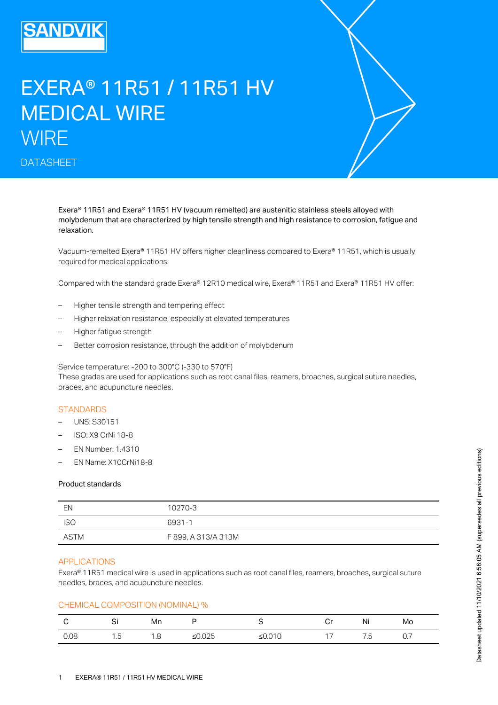# EXERA® 11R51 / 11R51 HV MEDICAL WIRE **WIRE**

DATASHEET

Exera® 11R51 and Exera® 11R51 HV (vacuum remelted) are austenitic stainless steels alloyed with molybdenum that are characterized by high tensile strength and high resistance to corrosion, fatigue and relaxation.

Vacuum-remelted Exera® 11R51 HV offers higher cleanliness compared to Exera® 11R51, which is usually required for medical applications.

Compared with the standard grade Exera® 12R10 medical wire, Exera® 11R51 and Exera® 11R51 HV offer:

- Higher tensile strength and tempering effect
- Higher relaxation resistance, especially at elevated temperatures
- Higher fatigue strength
- Better corrosion resistance, through the addition of molybdenum

Service temperature: -200 to 300°C (-330 to 570°F)

These grades are used for applications such as root canal files, reamers, broaches, surgical suture needles, braces, and acupuncture needles.

# **STANDARDS**

- UNS: S30151
- ISO: X9 CrNi 18-8
- EN Number: 1.4310
- EN Name: X10CrNi18-8

## Product standards

| - FN  | 10270-3             |
|-------|---------------------|
| - ISG | 6931-1              |
| ASTM  | F 899, A 313/A 313M |

## APPLICATIONS

Exera® 11R51 medical wire is used in applications such as root canal files, reamers, broaches, surgical suture needles, braces, and acupuncture needles.

# CHEMICAL COMPOSITION (NOMINAL) %

|      | Ci<br>اب | Mn          |       |             | ັ  | Ni  | Mo  |
|------|----------|-------------|-------|-------------|----|-----|-----|
| 0.08 | 1.5      | 1 Q<br>ں. ا | ≥∪.∪∠ | .010<br>.ש⇒ | 17 | ".ხ | ◡., |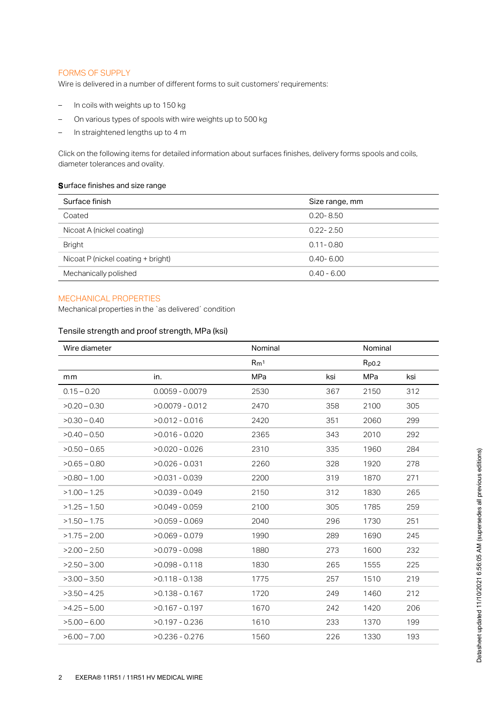# FORMS OF SUPPLY

Wire is delivered in a number of different forms to suit customers' requirements:

- In coils with weights up to 150 kg
- On various types of spools with wire weights up to 500 kg
- In straightened lengths up to 4 m

Click on the following items for detailed information about surfaces finishes, delivery forms spools and coils, diameter tolerances and ovality.

#### Surface finishes and size range

| Size range, mm |
|----------------|
| $0.20 - 8.50$  |
| $0.22 - 2.50$  |
| $0.11 - 0.80$  |
| $0.40 - 6.00$  |
| $0.40 - 6.00$  |
|                |

# MECHANICAL PROPERTIES

Mechanical properties in the `as delivered´ condition

# Tensile strength and proof strength, MPa (ksi)

| Wire diameter  |                   | Nominal         |     | Nominal    |     |
|----------------|-------------------|-----------------|-----|------------|-----|
|                |                   | Rm <sup>1</sup> |     | $R_{p0.2}$ |     |
| mm             | in.               | MPa             | ksi | MPa        | ksi |
| $0.15 - 0.20$  | $0.0059 - 0.0079$ | 2530            | 367 | 2150       | 312 |
| $>0.20 - 0.30$ | $>0.0079 - 0.012$ | 2470            | 358 | 2100       | 305 |
| $>0.30 - 0.40$ | $>0.012 - 0.016$  | 2420            | 351 | 2060       | 299 |
| $>0.40 - 0.50$ | $>0.016 - 0.020$  | 2365            | 343 | 2010       | 292 |
| $>0.50 - 0.65$ | $>0.020 - 0.026$  | 2310            | 335 | 1960       | 284 |
| $>0.65 - 0.80$ | $>0.026 - 0.031$  | 2260            | 328 | 1920       | 278 |
| $>0.80 - 1.00$ | $>0.031 - 0.039$  | 2200            | 319 | 1870       | 271 |
| $>1.00 - 1.25$ | $>0.039 - 0.049$  | 2150            | 312 | 1830       | 265 |
| $>1.25 - 1.50$ | $>0.049 - 0.059$  | 2100            | 305 | 1785       | 259 |
| $>1.50 - 1.75$ | $>0.059 - 0.069$  | 2040            | 296 | 1730       | 251 |
| $>1.75 - 2.00$ | $>0.069 - 0.079$  | 1990            | 289 | 1690       | 245 |
| $>2.00 - 2.50$ | $>0.079 - 0.098$  | 1880            | 273 | 1600       | 232 |
| $>2.50 - 3.00$ | $>0.098 - 0.118$  | 1830            | 265 | 1555       | 225 |
| $>3.00 - 3.50$ | $>0.118 - 0.138$  | 1775            | 257 | 1510       | 219 |
| $>3.50 - 4.25$ | $>0.138 - 0.167$  | 1720            | 249 | 1460       | 212 |
| $>4.25 - 5.00$ | $>0.167 - 0.197$  | 1670            | 242 | 1420       | 206 |
| $>5.00 - 6.00$ | $>0.197 - 0.236$  | 1610            | 233 | 1370       | 199 |
| $>6.00 - 7.00$ | $>0.236 - 0.276$  | 1560            | 226 | 1330       | 193 |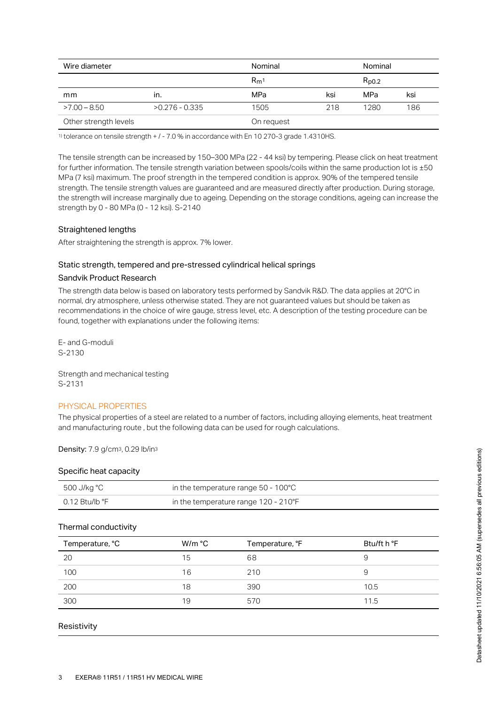| Wire diameter         |                  | Nominal         |     | Nominal    |     |
|-----------------------|------------------|-----------------|-----|------------|-----|
|                       |                  | Rm <sup>1</sup> |     | $R_{D0.2}$ |     |
| mm                    | ın.              | MPa             | ksi | MPa        | ksi |
| $>7.00 - 8.50$        | $>0.276 - 0.335$ | 1505            | 218 | 1280       | 186 |
| Other strength levels |                  | On request      |     |            |     |

 $11$  tolerance on tensile strength  $+1 - 7.0$  % in accordance with En 10 270-3 grade 1.4310HS.

The tensile strength can be increased by 150–300 MPa (22 - 44 ksi) by tempering. Please click on heat treatment for further information. The tensile strength variation between spools/coils within the same production lot is  $\pm 50$ MPa (7 ksi) maximum. The proof strength in the tempered condition is approx. 90% of the tempered tensile strength. The tensile strength values are guaranteed and are measured directly after production. During storage, the strength will increase marginally due to ageing. Depending on the storage conditions, ageing can increase the strength by 0 - 80 MPa (0 - 12 ksi). S-2140

## Straightened lengths

After straightening the strength is approx. 7% lower.

#### Static strength, tempered and pre-stressed cylindrical helical springs

#### Sandvik Product Research

The strength data below is based on laboratory tests performed by Sandvik R&D. The data applies at 20°C in normal, dry atmosphere, unless otherwise stated. They are not guaranteed values but should be taken as recommendations in the choice of wire gauge, stress level, etc. A description of the testing procedure can be found, together with explanations under the following items:

E- and G-moduli S-2130

Strength and mechanical testing S-2131

#### PHYSICAL PROPERTIES

The physical properties of a steel are related to a number of factors, including alloying elements, heat treatment and manufacturing route , but the following data can be used for rough calculations.

Density: 7.9 g/cm<sup>3</sup>, 0.29 lb/in<sup>3</sup>

## Specific heat capacity

| 500 J/kg °C    | in the temperature range $50 - 100^{\circ}$ C |
|----------------|-----------------------------------------------|
| 0.12 Btu/lb °F | in the temperature range 120 - 210°F          |

## Thermal conductivity

| Temperature, °C | W/m °C | Temperature, °F | Btu/ft h °F |
|-----------------|--------|-----------------|-------------|
| 20              | 15     | 68              | У           |
| 100             | 16     | 210             | 9           |
| 200             | 18     | 390             | 10.5        |
| 300             | 19     | 570             | 11.5        |

#### Resistivity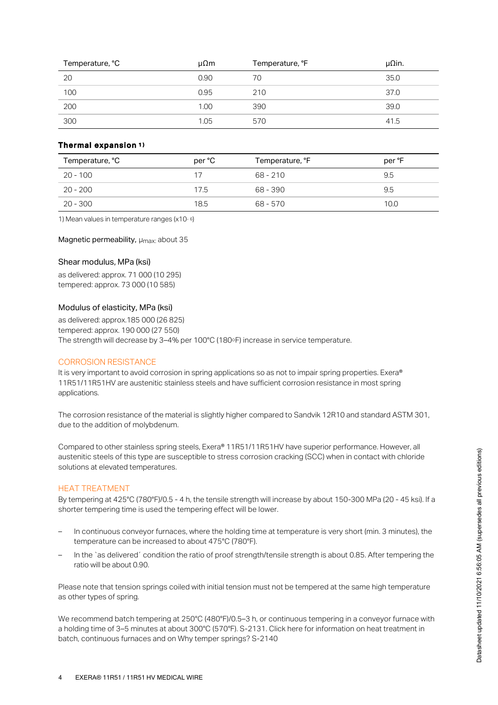| Temperature, °C | μΩm  | Temperature, °F | $\mu$ Qin. |
|-----------------|------|-----------------|------------|
| 20              | 0.90 | 70              | 35.0       |
| 100             | 0.95 | 210             | 37.0       |
| 200             | 1.00 | 390             | 39.0       |
| 300             | 1.05 | 570             | 41.5       |

# Thermal expansion 1 )

| Temperature, °C | per °C | Temperature, °F | per °F |
|-----------------|--------|-----------------|--------|
| $20 - 100$      | 17     | $68 - 210$      | 9.5    |
| $20 - 200$      | 17.5   | 68 - 390        | 9.5    |
| 20 - 300        | 18.5   | 68 - 570        | 10.0   |

1) Mean values in temperature ranges ( $x10 - 6$ )

Magnetic permeability,  $\mu_{\text{max}}$  about 35

# Shear modulus, MPa (ksi)

as delivered: approx. 71 000 (10 295) tempered: approx. 73 000 (10 585)

## Modulus of elasticity, MPa (ksi)

as delivered: approx.185 000 (26 825) tempered: approx. 190 000 (27 550) The strength will decrease by 3–4% per 100°C (180°F) increase in service temperature.

#### CORROSION RESISTANCE

It is very important to avoid corrosion in spring applications so as not to impair spring properties. Exera® 11R51/11R51HV are austenitic stainless steels and have sufficient corrosion resistance in most spring applications.

The corrosion resistance of the material is slightly higher compared to Sandvik 12R10 and standard ASTM 301, due to the addition of molybdenum.

Compared to other stainless spring steels, Exera® 11R51/11R51HV have superior performance. However, all austenitic steels of this type are susceptible to stress corrosion cracking (SCC) when in contact with chloride solutions at elevated temperatures.

#### HEAT TREATMENT

By tempering at 425°C (780°F)/0.5 - 4 h, the tensile strength will increase by about 150-300 MPa (20 - 45 ksi). If a shorter tempering time is used the tempering effect will be lower.

- In continuous conveyor furnaces, where the holding time at temperature is very short (min. 3 minutes), the temperature can be increased to about 475°C (780°F). –
- In the `as delivered´ condition the ratio of proof strength/tensile strength is about 0.85. After tempering the ratio will be about 0.90. –

Please note that tension springs coiled with initial tension must not be tempered at the same high temperature as other types of spring.

We recommend batch tempering at 250°C (480°F)/0.5–3 h, or continuous tempering in a conveyor furnace with a holding time of 3–5 minutes at about 300°C (570°F). S-2131. Click here for information on heat treatment in batch, continuous furnaces and on Why temper springs? S-2140